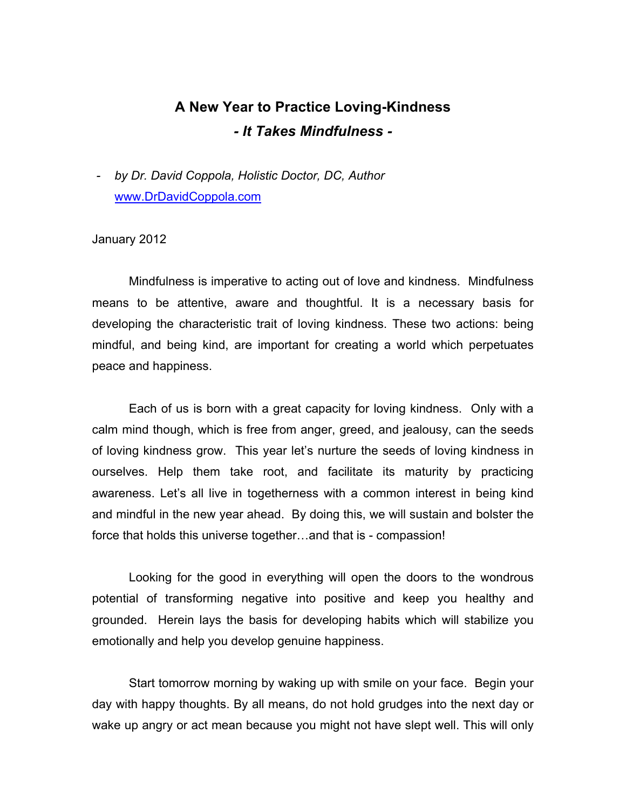## **A New Year to Practice Loving-Kindness** *- It Takes Mindfulness -*

*- by Dr. David Coppola, Holistic Doctor, DC, Author* www.DrDavidCoppola.com

## January 2012

Mindfulness is imperative to acting out of love and kindness. Mindfulness means to be attentive, aware and thoughtful. It is a necessary basis for developing the characteristic trait of loving kindness. These two actions: being mindful, and being kind, are important for creating a world which perpetuates peace and happiness.

Each of us is born with a great capacity for loving kindness. Only with a calm mind though, which is free from anger, greed, and jealousy, can the seeds of loving kindness grow. This year let's nurture the seeds of loving kindness in ourselves. Help them take root, and facilitate its maturity by practicing awareness. Let's all live in togetherness with a common interest in being kind and mindful in the new year ahead. By doing this, we will sustain and bolster the force that holds this universe together…and that is - compassion!

Looking for the good in everything will open the doors to the wondrous potential of transforming negative into positive and keep you healthy and grounded. Herein lays the basis for developing habits which will stabilize you emotionally and help you develop genuine happiness.

Start tomorrow morning by waking up with smile on your face. Begin your day with happy thoughts. By all means, do not hold grudges into the next day or wake up angry or act mean because you might not have slept well. This will only